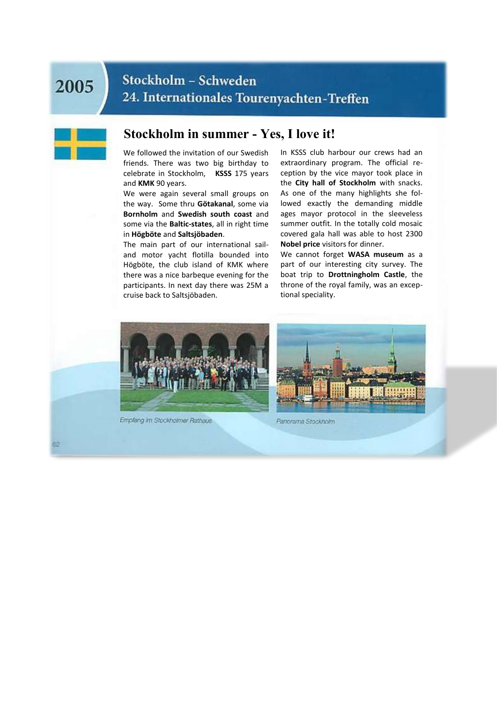## 2005

### Stockholm - Schweden 24. Internationales Tourenyachten-Treffen

#### **Stockholm in summer - Yes, I love it!**

We followed the invitation of our Swedish friends. There was two big birthday to celebrate in Stockholm, **KSSS** 175 years and **KMK** 90 years.

We were again several small groups on the way. Some thru **Götakanal**, some via **Bornholm** and **Swedish south coast** and some via the **Baltic-states**, all in right time in **Högböte** and **Saltsjöbaden**.

The main part of our international sailand motor yacht flotilla bounded into Högböte, the club island of KMK where there was a nice barbeque evening for the participants. In next day there was 25M a cruise back to Saltsjöbaden.

In KSSS club harbour our crews had an extraordinary program. The official reception by the vice mayor took place in the **City hall of Stockholm** with snacks. As one of the many highlights she followed exactly the demanding middle ages mayor protocol in the sleeveless summer outfit. In the totally cold mosaic covered gala hall was able to host 2300 **Nobel price** visitors for dinner.

We cannot forget **WASA museum** as a part of our interesting city survey. The boat trip to **Drottningholm Castle**, the throne of the royal family, was an exceptional speciality.



Emplang im Stockholmer Rathaus



Panorama Stockholm.